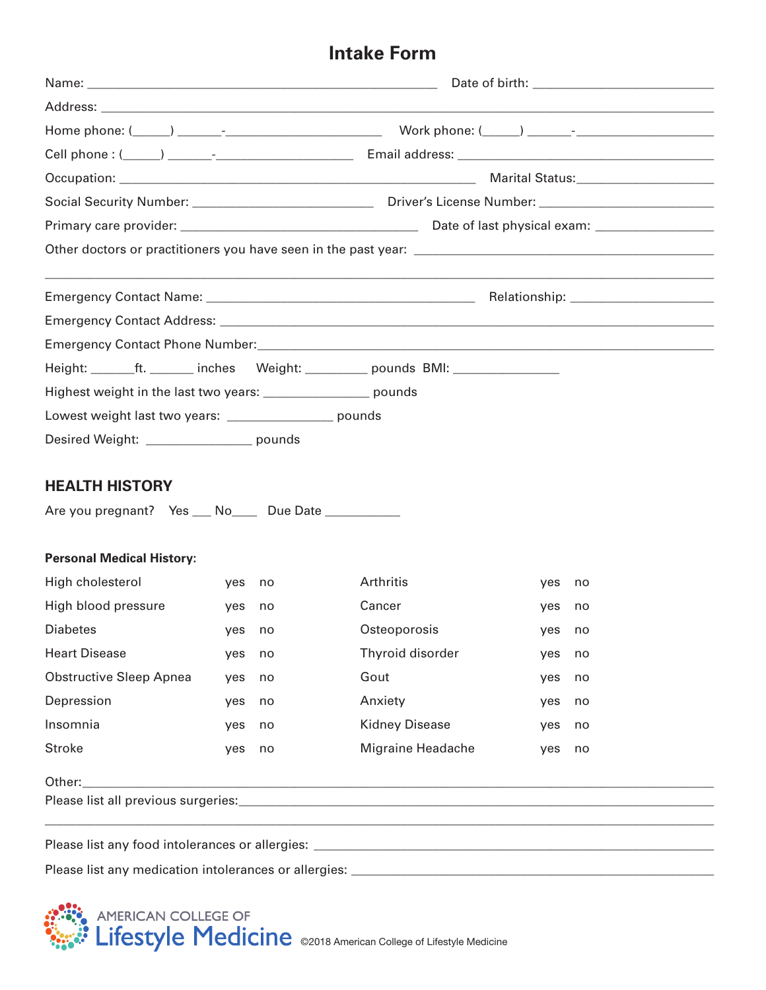## **Intake Form**

| Height: _______ft. _______ inches Weight: _________ pounds BMI: ________________  |        |    |                       |        |    |  |
|-----------------------------------------------------------------------------------|--------|----|-----------------------|--------|----|--|
| Highest weight in the last two years: ___________________ pounds                  |        |    |                       |        |    |  |
| Lowest weight last two years: _________________ pounds                            |        |    |                       |        |    |  |
| Desired Weight: _________________ pounds                                          |        |    |                       |        |    |  |
|                                                                                   |        |    |                       |        |    |  |
| <b>HEALTH HISTORY</b>                                                             |        |    |                       |        |    |  |
| Are you pregnant? Yes ___ No____ Due Date ___________                             |        |    |                       |        |    |  |
|                                                                                   |        |    |                       |        |    |  |
| <b>Personal Medical History:</b>                                                  |        |    |                       |        |    |  |
| High cholesterol                                                                  | yes no |    | Arthritis             | yes    | no |  |
| High blood pressure                                                               | yes no |    | Cancer                | yes    | no |  |
| <b>Diabetes</b>                                                                   | yes no |    | Osteoporosis          | yes no |    |  |
| <b>Heart Disease</b>                                                              | yes    | no | Thyroid disorder      | yes    | no |  |
| <b>Obstructive Sleep Apnea</b>                                                    | yes    | no | Gout                  | yes    | no |  |
| Depression                                                                        | yes    | no | Anxiety               | yes    | no |  |
| Insomnia                                                                          | yes    | no | <b>Kidney Disease</b> | yes    | no |  |
| <b>Stroke</b>                                                                     | yes    | no | Migraine Headache     | yes    | no |  |
| Other:                                                                            |        |    |                       |        |    |  |
|                                                                                   |        |    |                       |        |    |  |
|                                                                                   |        |    |                       |        |    |  |
| Please list any medication intolerances or allergies: ___________________________ |        |    |                       |        |    |  |